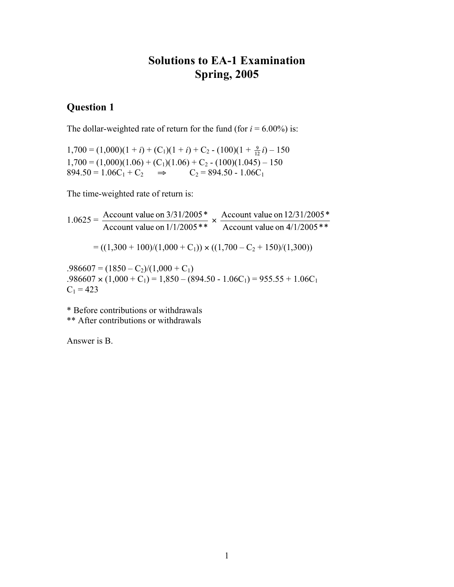## **Solutions to EA-1 Examination Spring, 2005**

## **Question 1**

The dollar-weighted rate of return for the fund (for  $i = 6.00\%$ ) is:

 $1,700 = (1,000)(1 + i) + (C_1)(1 + i) + C_2 - (100)(1 + \frac{9}{12}i) - 150$  $1,700 = (1,000)(1.06) + (C_1)(1.06) + C_2 - (100)(1.045) - 150$  $894.50 = 1.06C_1 + C_2$   $\Rightarrow$   $C_2 = 894.50 - 1.06C_1$ 

The time-weighted rate of return is:

1.0625 =  $\frac{\text{Account value on } 3/31/2005*}{\text{Account value on } 1/1/2005**}$   $\times \frac{\text{Account value on } 12/31/2005*}{\text{Account value on } 4/1/2005**}$  $= ((1,300 + 100)/(1,000 + C_1)) \times ((1,700 - C_2 + 150)/(1,300))$  $.986607 = (1850 - C_2)/(1,000 + C_1)$ 

 $.986607 \times (1,000 + C_1) = 1,850 - (894.50 - 1.06C_1) = 955.55 + 1.06C_1$  $C_1 = 423$ 

\* Before contributions or withdrawals

\*\* After contributions or withdrawals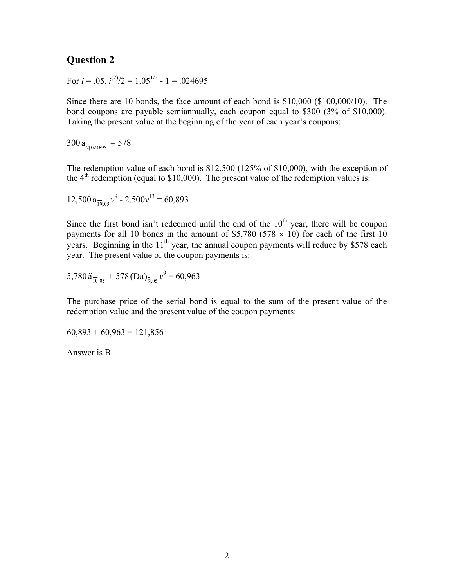For  $i = .05$ ,  $i^{(2)}/2 = 1.05^{1/2}$  - 1 = .024695

Since there are 10 bonds, the face amount of each bond is \$10,000 (\$100,000/10). The bond coupons are payable semiannually, each coupon equal to \$300 (3% of \$10,000). Taking the present value at the beginning of the year of each year's coupons:

 $300 a_{\frac{1}{2}024695} = 578$ 

The redemption value of each bond is \$12,500 (125% of \$10,000), with the exception of the  $4<sup>th</sup>$  redemption (equal to \$10,000). The present value of the redemption values is:

$$
12,500 \, a_{\overline{10005}} \nu^9 - 2,500 \nu^{13} = 60,893
$$

Since the first bond isn't redeemed until the end of the  $10<sup>th</sup>$  year, there will be coupon payments for all 10 bonds in the amount of \$5,780 (578  $\times$  10) for each of the first 10 years. Beginning in the  $11<sup>th</sup>$  year, the annual coupon payments will reduce by \$578 each year. The present value of the coupon payments is:

$$
5,780 \ddot{a}_{\overline{10}|.05} + 578 \left(Da\right)_{\overline{9}|.05} v^9 = 60,963
$$

The purchase price of the serial bond is equal to the sum of the present value of the redemption value and the present value of the coupon payments:

 $60,893 + 60,963 = 121,856$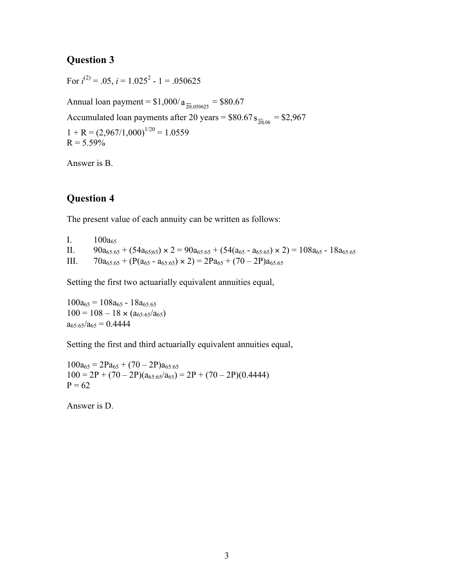For  $i^{(2)} = .05$ ,  $i = 1.025^2 - 1 = .050625$ 

Annual loan payment =  $$1,000/a_{\frac{20,050625}{20,050625}}$  = \$80.67 Accumulated loan payments after 20 years =  $$80.67 s_{\overline{20,06}} = $2,967$  $1 + R = (2,967/1,000)^{1/20} = 1.0559$  $R = 5.59\%$ 

Answer is B.

## **Question 4**

The present value of each annuity can be written as follows:

I.  $100a_{65}$ II.  $90a_{65:65} + (54a_{65|65}) \times 2 = 90a_{65:65} + (54(a_{65} - a_{65:65}) \times 2) = 108a_{65} - 18a_{65:65}$ III.  $70a_{65:65} + (P(a_{65} - a_{65:65}) \times 2) = 2Pa_{65} + (70 - 2P)a_{65:65}$ 

Setting the first two actuarially equivalent annuities equal,

 $100a_{65} = 108a_{65} - 18a_{65:65}$  $100 = 108 - 18 \times (a_{65:65}/a_{65})$  $a_{65:65}/a_{65} = 0.4444$ 

Setting the first and third actuarially equivalent annuities equal,

 $100a_{65} = 2Pa_{65} + (70 - 2P)a_{65:65}$  $100 = 2P + (70 - 2P)(a_{65:65}/a_{65}) = 2P + (70 - 2P)(0.4444)$  $P = 62$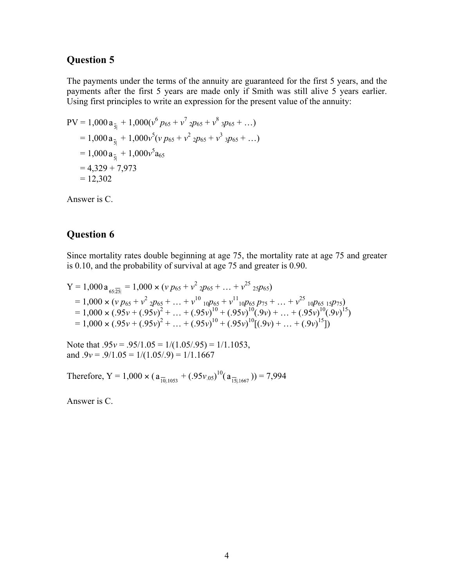The payments under the terms of the annuity are guaranteed for the first 5 years, and the payments after the first 5 years are made only if Smith was still alive 5 years earlier. Using first principles to write an expression for the present value of the annuity:

$$
PV = 1,000 a_{\overline{s}} + 1,000(v^6 p_{65} + v^7 2p_{65} + v^8 3p_{65} + ...)
$$
  
= 1,000 a\_{\overline{s}} + 1,000v^5 (v p\_{65} + v^2 2p\_{65} + v^3 3p\_{65} + ...)  
= 1,000 a\_{\overline{s}} + 1,000v^5 a\_{65}  
= 4,329 + 7,973  
= 12,302

Answer is C.

## **Question 6**

Since mortality rates double beginning at age 75, the mortality rate at age 75 and greater is 0.10, and the probability of survival at age 75 and greater is 0.90.

Y = 1,000 a<sub>65.25]</sub> = 1,000 x (v 
$$
p_{65} + v^2
$$
 2 $p_{65} + ... + v^{25}$  25 $p_{65}$ )  
= 1,000 x (v  $p_{65} + v^2$  2 $p_{65} + ... + v^{10}$  10 $p_{65} + v^{11}$  10 $p_{65}p_{75} + ... + v^{25}$  10 $p_{65}$  15 $p_{75}$ )  
= 1,000 x (0.95 $v + (0.95v)^2 + ... + (0.95v)^{10} + (0.95v)^{10}(0.9v) + ... + (0.95v)^{10}(0.9v)^{15}$ )  
= 1,000 x (0.95 $v + (0.95v)^2 + ... + (0.95v)^{10} + (0.95v)^{10}[(0.9v) + ... + (0.9v)^{15}]$ )

Note that  $.95v = .95/1.05 = 1/(1.05/0.95) = 1/1.1053$ , and  $.9v = .9/1.05 = 1/(1.05/.9) = 1/1.1667$ 

Therefore, Y = 1,000  $\times$  ( $a_{\frac{1}{1011053}} + (0.95v_{.05})^{10}$ ( $a_{\frac{1511667}{1511667}}$ )) = 7,994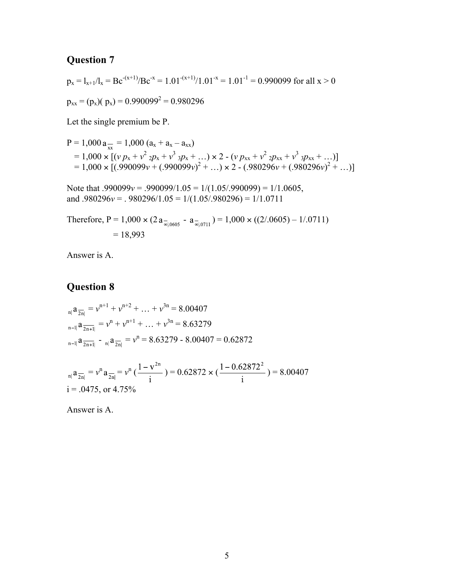$$
p_x = l_{x+1}/l_x = Bc^{-(x+1)}/Bc^{-x} = 1.01^{-(x+1)}/1.01^{-x} = 1.01^{-1} = 0.990099
$$
 for all x > 0

 $p_{xx} = (p_x)(p_x) = 0.990099^2 = 0.980296$ 

Let the single premium be P.

$$
P = 1,000 a_{xx} = 1,000 (a_x + a_x - a_{xx})
$$
  
= 1,000 × [(v p<sub>x</sub> + v<sup>2</sup> 2p<sub>x</sub> + v<sup>3</sup> 3p<sub>x</sub> + ...) × 2 - (v p<sub>xx</sub> + v<sup>2</sup> 2p<sub>xx</sub> + v<sup>3</sup> 3p<sub>xx</sub> + ...)]  
= 1,000 × [(.990099v + (.990099v)<sup>2</sup> + ...) × 2 - (.980296v + (.980296v)<sup>2</sup> + ...)]

Note that .990099*v* = .990099/1.05 = 1/(1.05/.990099) = 1/1.0605, and .980296*v* = . 980296/1.05 = 1/(1.05/.980296) = 1/1.0711

Therefore, P = 1,000  $\times$  (2  $a_{\overline{\omega}_{|0605}} - a_{\overline{\omega}_{|0711}}$ ) = 1,000  $\times$  ((2/.0605) – 1/.0711)  $= 18,993$ 

Answer is A.

### **Question 8**

$$
{}_{n|}a_{\overline{2n}|} = v^{n+1} + v^{n+2} + \dots + v^{3n} = 8.00407
$$
  

$$
{}_{n-1|}a_{\overline{2n+1}|} = v^n + v^{n+1} + \dots + v^{3n} = 8.63279
$$
  

$$
{}_{n-1|}a_{\overline{2n+1}|} - {}_{n|}a_{\overline{2n}|} = v^n = 8.63279 - 8.00407 = 0.62872
$$

 $\overline{a}$ 

$$
\int_{\text{min}} a_{\overline{2n}} = v^n a_{\overline{2n}} = v^n \left( \frac{1 - v^{2n}}{\text{i}} \right) = 0.62872 \times \left( \frac{1 - 0.62872^2}{\text{i}} \right) = 8.00407
$$
  
i = .0475, or 4.75%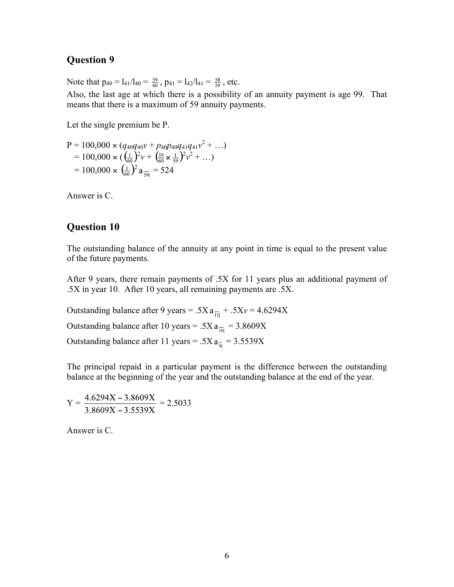Note that  $p_{40} = I_{41}/I_{40} = \frac{59}{60}$ ,  $p_{41} = I_{42}/I_{41} = \frac{58}{59}$ , etc.

Also, the last age at which there is a possibility of an annuity payment is age 99. That means that there is a maximum of 59 annuity payments.

Let the single premium be P.

$$
P = 100,000 \times (q_{40}q_{40}v + p_{40}p_{40}q_{41}q_{41}v^{2} + ...)
$$
  
= 100,000 \times (\frac{1}{60})^{2}v + (\frac{59}{60} \times \frac{1}{59})^{2}v^{2} + ...)  
= 100,000 \times (\frac{1}{60})^{2} a\_{\frac{1}{59}} = 524

Answer is C.

#### **Question 10**

The outstanding balance of the annuity at any point in time is equal to the present value of the future payments.

After 9 years, there remain payments of .5X for 11 years plus an additional payment of .5X in year 10. After 10 years, all remaining payments are .5X.

Outstanding balance after 9 years =  $.5Xa_{\overline{11}} + .5Xv = 4.6294X$ Outstanding balance after 10 years =  $.5Xa_{\overline{10}} = 3.8609X$ Outstanding balance after 11 years = .5X  $a_{\overline{9}}$  = 3.5539X

The principal repaid in a particular payment is the difference between the outstanding balance at the beginning of the year and the outstanding balance at the end of the year.

$$
Y = \frac{4.6294X - 3.8609X}{3.8609X - 3.5539X} = 2.5033
$$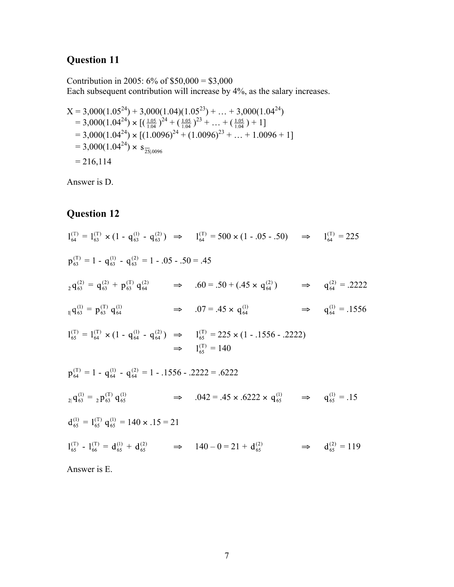Contribution in 2005:  $6\%$  of \$50,000 = \$3,000 Each subsequent contribution will increase by 4%, as the salary increases.

$$
X = 3,000(1.05^{24}) + 3,000(1.04)(1.05^{23}) + ... + 3,000(1.04^{24})
$$
  
= 3,000(1.04<sup>24</sup>) × [( $\frac{1.05}{1.04}$ )<sup>24</sup> + ( $\frac{1.05}{1.04}$ )<sup>23</sup> + ... + ( $\frac{1.05}{1.04}$ ) + 1]  
= 3,000(1.04<sup>24</sup>) × [(1.0096)<sup>24</sup> + (1.0096)<sup>23</sup> + ... + 1.0096 + 1]  
= 3,000(1.04<sup>24</sup>) × s<sub>25]</sub>0096  
= 216,114

Answer is D.

# **Question 12**

$$
1_{64}^{(T)} = 1_{63}^{(T)} \times (1 - q_{63}^{(1)} - q_{63}^{(2)}) \implies 1_{64}^{(T)} = 500 \times (1 - .05 - .50) \implies 1_{64}^{(T)} = 225
$$
  
\n
$$
p_{63}^{(T)} = 1 - q_{63}^{(1)} - q_{63}^{(2)} = 1 - .05 - .50 = .45
$$
  
\n
$$
2 q_{63}^{(2)} = q_{63}^{(2)} + p_{63}^{(T)} q_{64}^{(2)} \implies .60 = .50 + (.45 \times q_{64}^{(2)}) \implies q_{64}^{(2)} = .2222
$$
  
\n
$$
1_{1}^{(1)} = 1_{64}^{(T)} \times (1 - q_{64}^{(1)} - q_{64}^{(2)}) \implies 1_{65}^{(T)} = 225 \times (1 - .1556 - .2222) \implies 1_{65}^{(T)} = 140
$$
  
\n
$$
p_{64}^{(T)} = 1 - q_{64}^{(1)} - q_{64}^{(2)} = 1 - .1556 - .2222 = .6222
$$
  
\n
$$
2_{1}^{(3)} = 2 p_{63}^{(T)} q_{65}^{(1)} \implies .042 = .45 \times .6222 \times q_{65}^{(1)} \implies q_{65}^{(1)} = .15
$$
  
\n
$$
d_{65}^{(1)} = 1_{65}^{(T)} q_{65}^{(1)} = 140 \times .15 = 21
$$
  
\n
$$
1_{65}^{(T)} - 1_{66}^{(T)} = d_{65}^{(1)} + d_{65}^{(2)} \implies 140 - 0 = 21 + d_{65}^{(2)} \implies d_{65}^{(2)} = 119
$$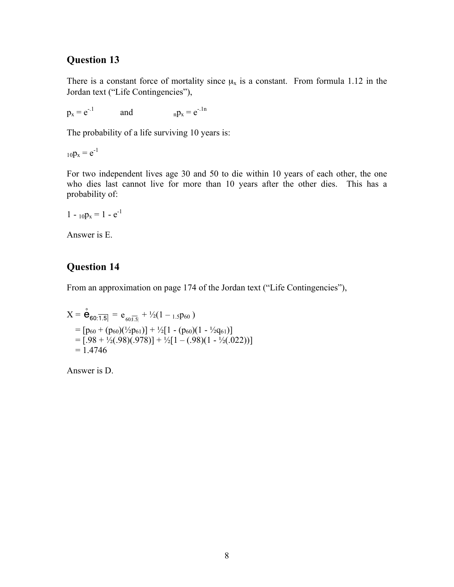There is a constant force of mortality since  $\mu_x$  is a constant. From formula 1.12 in the Jordan text ("Life Contingencies"),

 $p_x = e^{-.1}$  and  $n p_x = e^{-.1n}$ 

The probability of a life surviving 10 years is:

 $_{10}p_x = e^{-1}$ 

For two independent lives age 30 and 50 to die within 10 years of each other, the one who dies last cannot live for more than 10 years after the other dies. This has a probability of:

$$
1 - {}_{10}p_x = 1 - e^{-1}
$$

Answer is E.

## **Question 14**

From an approximation on page 174 of the Jordan text ("Life Contingencies"),

$$
X = \stackrel{\circ}{\mathbf{e}}_{60:\overline{1.5|}} = e_{60:\overline{1.5|}} + \frac{1}{2}(1 - 1.5P_{60})
$$
  
=  $[p_{60} + (p_{60})(\frac{1}{2}p_{61})] + \frac{1}{2}[1 - (p_{60})(1 - \frac{1}{2}q_{61})]$   
=  $[-98 + \frac{1}{2}(.98)(.978)] + \frac{1}{2}[1 - (.98)(1 - \frac{1}{2}(.022))]$   
= 1.4746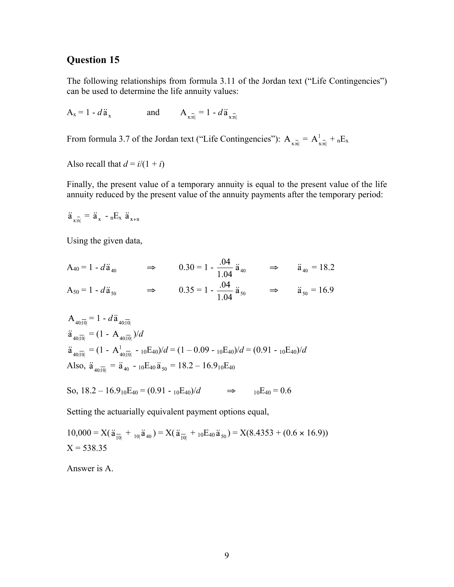The following relationships from formula 3.11 of the Jordan text ("Life Contingencies") can be used to determine the life annuity values:

 $A_x = 1 - d\ddot{a}_x$  and  $A_{x\ddot{n}} = 1 - d\ddot{a}_{x\ddot{n}}$ 

From formula 3.7 of the Jordan text ("Life Contingencies"):  $A_{x,\overline{n}} = A_{x,\overline{n}}^{\dagger} + {}_nE_x$ 

Also recall that  $d = i/(1 + i)$ 

Finally, the present value of a temporary annuity is equal to the present value of the life annuity reduced by the present value of the annuity payments after the temporary period:

$$
\ddot{a}_{x:n} = \ddot{a}_x - {}_nE_x \ddot{a}_{x+n}
$$

Using the given data,

$$
A_{40} = 1 - d\ddot{a}_{40} \qquad \Rightarrow \qquad 0.30 = 1 - \frac{.04}{1.04} \ddot{a}_{40} \qquad \Rightarrow \qquad \ddot{a}_{40} = 18.2
$$
\n
$$
A_{50} = 1 - d\ddot{a}_{50} \qquad \Rightarrow \qquad 0.35 = 1 - \frac{.04}{1.04} \ddot{a}_{50} \qquad \Rightarrow \qquad \ddot{a}_{50} = 16.9
$$

$$
A_{40:\overline{10}|} = 1 - d\ddot{a}_{40:\overline{10}|}
$$
  
\n
$$
\ddot{a}_{40:\overline{10}|} = (1 - A_{40:\overline{10}|})/d
$$
  
\n
$$
\ddot{a}_{40:\overline{10}|} = (1 - A_{40:\overline{10}|}^1 - 10E_{40})/d = (1 - 0.09 - 10E_{40})/d = (0.91 - 10E_{40})/d
$$
  
\nAlso,  $\ddot{a}_{40:\overline{10}|} = \ddot{a}_{40} - 10E_{40}\ddot{a}_{50} = 18.2 - 16.910E_{40}$ 

So, 
$$
18.2 - 16.9_{10}E_{40} = (0.91 - {}_{10}E_{40})/d
$$
  $\Rightarrow$   ${}_{10}E_{40} = 0.6$ 

Setting the actuarially equivalent payment options equal,

$$
10,000 = X(\ddot{a}_{\overline{10}|} +_{10|}\ddot{a}_{40}) = X(\ddot{a}_{\overline{10}|} +_{10}E_{40}\ddot{a}_{50}) = X(8.4353 + (0.6 \times 16.9))
$$
  
X = 538.35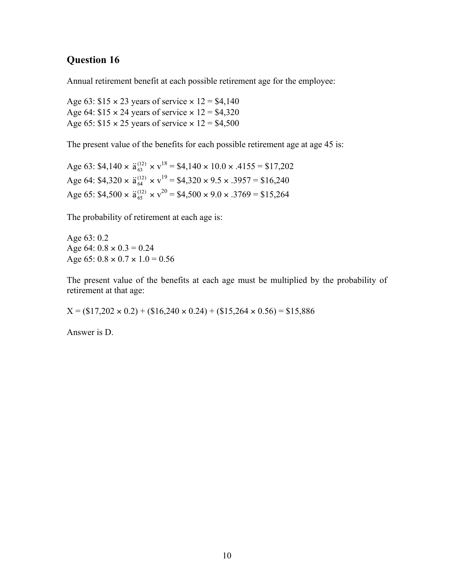Annual retirement benefit at each possible retirement age for the employee:

Age 63:  $$15 \times 23$  years of service  $\times 12 = $4,140$ Age 64:  $$15 \times 24$  years of service  $\times 12 = $4,320$ Age 65:  $$15 \times 25$  years of service  $\times 12 = $4,500$ 

The present value of the benefits for each possible retirement age at age 45 is:

Age 63: \$4,140  $\times$   $\ddot{a}_{63}^{(12)} \times v^{18} = $4,140 \times 10.0 \times .4155 = $17,202$ Age 64:  $$4,320 \times \ddot{a}_{64}^{(12)} \times v^{19} = $4,320 \times 9.5 \times .3957 = $16,240$ Age 65:  $$4,500 \times \ddot{a}_{65}^{(12)} \times v^{20} = $4,500 \times 9.0 \times .3769 = $15,264$ 

The probability of retirement at each age is:

Age 63: 0.2 Age 64:  $0.8 \times 0.3 = 0.24$ Age 65:  $0.8 \times 0.7 \times 1.0 = 0.56$ 

The present value of the benefits at each age must be multiplied by the probability of retirement at that age:

 $X = (\$17,202 \times 0.2) + (\$16,240 \times 0.24) + (\$15,264 \times 0.56) = \$15,886$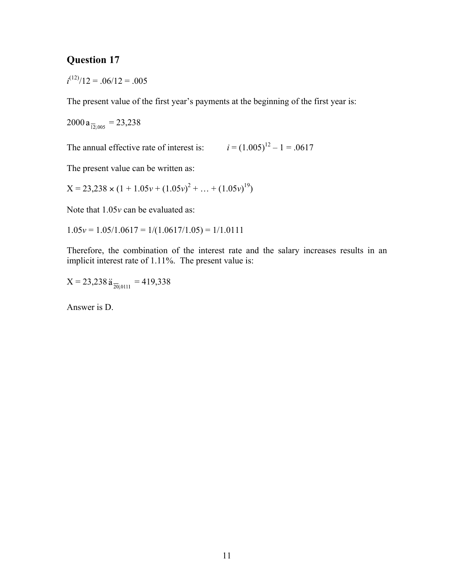$i^{(12)}/12 = .06/12 = .005$ 

The present value of the first year's payments at the beginning of the first year is:

 $2000 a_{\overline{12}1,005} = 23,238$ 

The annual effective rate of interest is:  $i = (1.005)^{12} - 1 = .0617$ 

The present value can be written as:

 $X = 23,238 \times (1 + 1.05v + (1.05v)^{2} + ... + (1.05v)^{19})$ 

Note that 1.05*v* can be evaluated as:

 $1.05v = 1.05/1.0617 = 1/(1.0617/1.05) = 1/1.0111$ 

Therefore, the combination of the interest rate and the salary increases results in an implicit interest rate of 1.11%. The present value is:

 $X = 23,238 \ddot{a}_{\overline{20} | 0111} = 419,338$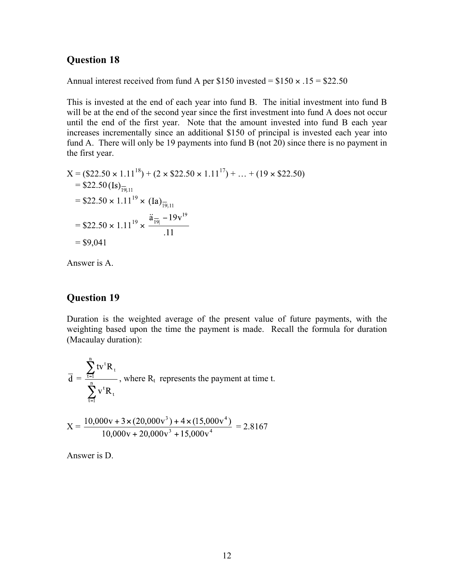Annual interest received from fund A per \$150 invested =  $$150 \times .15 = $22.50$ 

This is invested at the end of each year into fund B. The initial investment into fund B will be at the end of the second year since the first investment into fund A does not occur until the end of the first year. Note that the amount invested into fund B each year increases incrementally since an additional \$150 of principal is invested each year into fund A. There will only be 19 payments into fund B (not 20) since there is no payment in the first year.

$$
X = (\$22.50 \times 1.11^{18}) + (2 \times \$22.50 \times 1.11^{17}) + ... + (19 \times \$22.50)
$$
  
= \\$22.50 (Is)<sub>19,11</sub>  
= \\$22.50 \times 1.11<sup>19</sup> \times (Ia)<sub>19,11</sub>  
= \\$22.50 \times 1.11<sup>19</sup> \times  $\frac{\ddot{a}_{19} - 19v^{19}}{.11}$   
= \\$9,041

Answer is A.

### **Question 19**

Duration is the weighted average of the present value of future payments, with the weighting based upon the time the payment is made. Recall the formula for duration (Macaulay duration):

$$
\overline{d} = \frac{\sum_{t=1}^{n} tv^{t} R_{t}}{\sum_{t=1}^{n} v^{t} R_{t}},
$$
 where  $R_{t}$  represents the payment at time t.

$$
X = \frac{10,000v + 3 \times (20,000v^{3}) + 4 \times (15,000v^{4})}{10,000v + 20,000v^{3} + 15,000v^{4}} = 2.8167
$$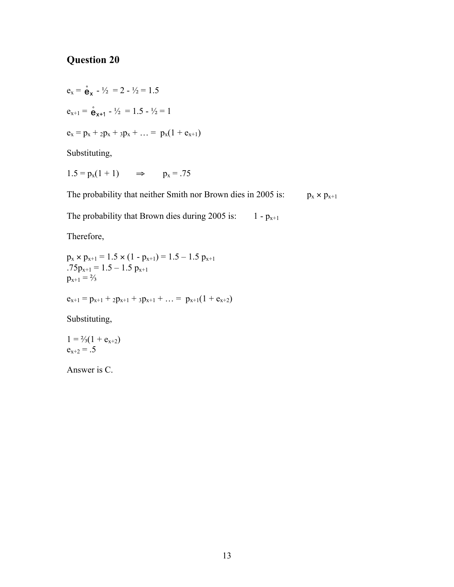$e_x = \frac{e}{2} - \frac{1}{2} = 2 - \frac{1}{2} = 1.5$  $e_{x+1} = \overset{\circ}{e}_{x+1} - \frac{1}{2} = 1.5 - \frac{1}{2} = 1$  $e_x = p_x + 2p_x + 3p_x + ... = p_x(1 + e_{x+1})$ Substituting,

 $1.5 = p_x(1 + 1)$   $\Rightarrow$   $p_x = .75$ 

The probability that neither Smith nor Brown dies in 2005 is:  $p_x \times p_{x+1}$ 

The probability that Brown dies during 2005 is:  $1 - p_{x+1}$ 

Therefore,

```
p_x \times p_{x+1} = 1.5 \times (1 - p_{x+1}) = 1.5 - 1.5 p_{x+1}.75p_{x+1} = 1.5 - 1.5 p_{x+1}p_{x+1} = \frac{2}{3}e_{x+1} = p_{x+1} + 2p_{x+1} + 3p_{x+1} + ... = p_{x+1}(1 + e_{x+2})
```
Substituting,

 $1 = \frac{2}{3}(1 + e_{x+2})$  $e_{x+2} = .5$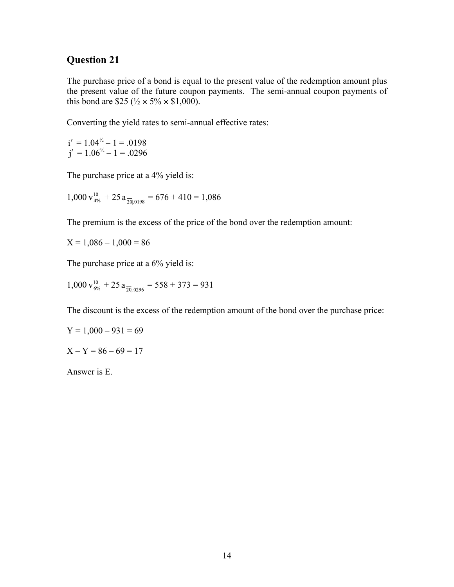The purchase price of a bond is equal to the present value of the redemption amount plus the present value of the future coupon payments. The semi-annual coupon payments of this bond are \$25 ( $\frac{1}{2} \times 5\% \times \$1,000$ ).

Converting the yield rates to semi-annual effective rates:

 $= 1.04^{1/2} - 1 = .0198$  $= 1.06^{1/2} - 1 = .0296$ 

The purchase price at a 4% yield is:

 $1,000 v_{4\%}^{10} + 25 a_{\overline{20}1,0198} = 676 + 410 = 1,086$ 

The premium is the excess of the price of the bond over the redemption amount:

 $X = 1,086 - 1,000 = 86$ 

The purchase price at a 6% yield is:

 $1,000 v_{6\%}^{10} + 25 a_{\overline{20}10296} = 558 + 373 = 931$ 

The discount is the excess of the redemption amount of the bond over the purchase price:

$$
Y = 1,000 - 931 = 69
$$

 $X - Y = 86 - 69 = 17$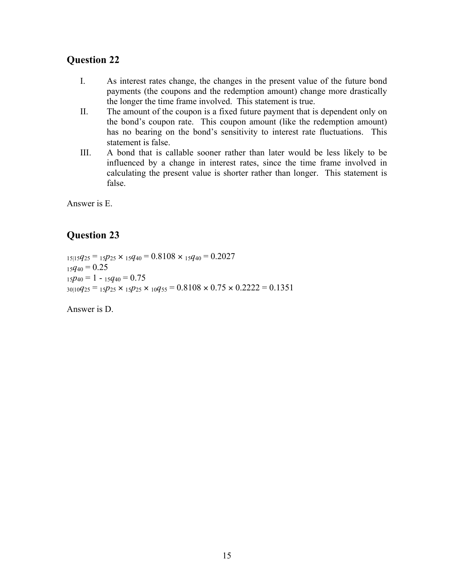- I. As interest rates change, the changes in the present value of the future bond payments (the coupons and the redemption amount) change more drastically the longer the time frame involved. This statement is true.
- II. The amount of the coupon is a fixed future payment that is dependent only on the bond's coupon rate. This coupon amount (like the redemption amount) has no bearing on the bond's sensitivity to interest rate fluctuations. This statement is false.
- III. A bond that is callable sooner rather than later would be less likely to be influenced by a change in interest rates, since the time frame involved in calculating the present value is shorter rather than longer. This statement is false.

Answer is E.

## **Question 23**

 $_{15|15}q_{25} =_{15}p_{25} \times_{15}q_{40} = 0.8108 \times_{15}q_{40} = 0.2027$  $_{15}q_{40} = 0.25$  $_{15}p_{40} = 1 -_{15}q_{40} = 0.75$  $30|10q_{25} = 15p_{25} \times 15p_{25} \times 10q_{55} = 0.8108 \times 0.75 \times 0.2222 = 0.1351$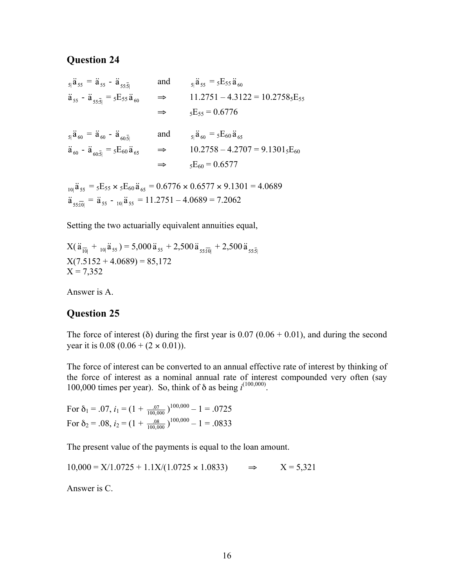$$
\ddot{a}_{55} = \ddot{a}_{55} - \ddot{a}_{55\overline{5}|} \text{ and } \ddot{a}_{55} = 5E_{55}\ddot{a}_{60}
$$
\n
$$
\ddot{a}_{55} - \ddot{a}_{55\overline{5}|} = 5E_{55}\ddot{a}_{60} \implies 11.2751 - 4.3122 = 10.27585E_{55}
$$
\n
$$
\implies 5E_{55} = 0.6776
$$

$$
\ddot{a}_{60} = \ddot{a}_{60} - \ddot{a}_{60\overline{5}} \quad \text{and} \quad \dot{s}_{1}\ddot{a}_{60} = {}_{5}E_{60}\ddot{a}_{65} \n\ddot{a}_{60} - \ddot{a}_{60\overline{5}} = {}_{5}E_{60}\ddot{a}_{65} \quad \Rightarrow \quad 10.2758 - 4.2707 = 9.1301 {}_{5}E_{60} \n\Rightarrow \quad {}_{5}E_{60} = 0.6577
$$

 $_{10}$  $\ddot{a}_{55}$  =  $_{5}E_{55} \times$   $_{5}E_{60} \ddot{a}_{65}$  = 0.6776  $\times$  0.6577  $\times$  9.1301 = 4.0689  $\ddot{a}_{55\overline{10}} = \ddot{a}_{55} -_{10}\dot{a}_{55} = 11.2751 - 4.0689 = 7.2062$ 

Setting the two actuarially equivalent annuities equal,

$$
X(\ddot{a}_{\overline{10}|} + {}_{10|}\ddot{a}_{55}) = 5,000 \ddot{a}_{55} + 2,500 \ddot{a}_{55;\overline{10}|} + 2,500 \ddot{a}_{55;\overline{5}|}
$$
  
\n
$$
X(7.5152 + 4.0689) = 85,172
$$
  
\n
$$
X = 7,352
$$

Answer is A.

#### **Question 25**

The force of interest ( $\delta$ ) during the first year is 0.07 (0.06 + 0.01), and during the second year it is  $0.08$  ( $0.06 + (2 \times 0.01)$ ).

The force of interest can be converted to an annual effective rate of interest by thinking of the force of interest as a nominal annual rate of interest compounded very often (say 100,000 times per year). So, think of  $\delta$  as being  $i^{(100,000)}$ .

For  $\delta_1$  = .07,  $i_1$  =  $(1 + \frac{0.07}{100,000})^{100,000} - 1 = .0725$ For  $\delta_2$  = .08,  $i_2$  = (1 +  $\frac{.08}{100,000}$ )<sup>100,000</sup> - 1 = .0833

The present value of the payments is equal to the loan amount.

 $10,000 = X/1.0725 + 1.1X/(1.0725 \times 1.0833)$   $\Rightarrow$   $X = 5,321$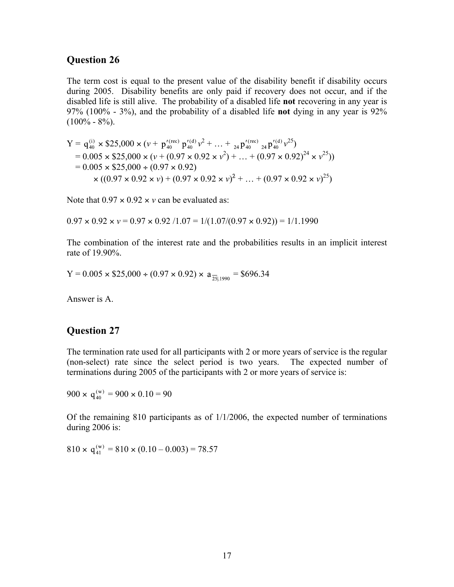The term cost is equal to the present value of the disability benefit if disability occurs during 2005. Disability benefits are only paid if recovery does not occur, and if the disabled life is still alive. The probability of a disabled life **not** recovering in any year is 97% (100% - 3%), and the probability of a disabled life **not** dying in any year is 92%  $(100\% - 8\%)$ .

Y = × \$25,000 × (*v* + *v* 2 + … + *v* 25) = 0.005 × \$25,000 × (*v* + (0.97 × 0.92 × *v* 2 ) + … + (0.97 × 0.92)<sup>24</sup> × *v* 25)) = 0.005 × \$25,000 ÷ (0.97 × 0.92) × ((0.97 × 0.92 × *v*) + (0.97 × 0.92 × *v*) 2 + … + (0.97 × 0.92 × *v*) 25)

Note that  $0.97 \times 0.92 \times v$  can be evaluated as:

 $0.97 \times 0.92 \times v = 0.97 \times 0.92 / 1.07 = 1/(1.07/(0.97 \times 0.92)) = 1/1.1990$ 

The combination of the interest rate and the probabilities results in an implicit interest rate of 19.90%.

 $Y = 0.005 \times $25,000 \div (0.97 \times 0.92) \times a_{\frac{25}{1,1990}} = $696.34$ 

Answer is A.

#### **Question 27**

The termination rate used for all participants with 2 or more years of service is the regular (non-select) rate since the select period is two years. The expected number of terminations during 2005 of the participants with 2 or more years of service is:

 $900 \times q_{40}^{(w)} = 900 \times 0.10 = 90$ 

Of the remaining 810 participants as of 1/1/2006, the expected number of terminations during 2006 is:

 $810 \times q_{41}^{(w)} = 810 \times (0.10 - 0.003) = 78.57$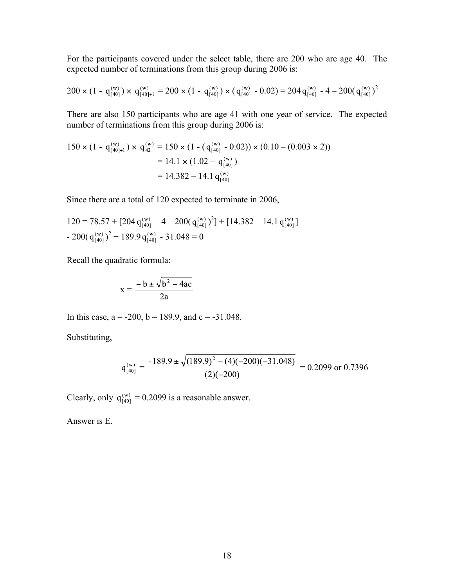For the participants covered under the select table, there are 200 who are age 40. The expected number of terminations from this group during 2006 is:

$$
200 \times (1 - q_{[40]}^{(w)}) \times q_{[40]+1}^{(w)} = 200 \times (1 - q_{[40]}^{(w)}) \times (q_{[40]}^{(w)} - 0.02) = 204 q_{[40]}^{(w)} - 4 - 200 (q_{[40]}^{(w)})^2
$$

There are also 150 participants who are age 41 with one year of service. The expected number of terminations from this group during 2006 is:

$$
150 \times (1 - q_{[40]+1}^{(w)}) \times q_{42}^{(w)} = 150 \times (1 - (q_{[40]}^{(w)} - 0.02)) \times (0.10 - (0.003 \times 2))
$$
  
= 14.1 \times (1.02 - q\_{[40]}^{(w)})  
= 14.382 - 14.1 q\_{[40]}^{(w)}

Since there are a total of 120 expected to terminate in 2006,

 $120 = 78.57 + [204 q_{1401}^{(w)} - 4 - 200 (q_{1401}^{(w)})^2] + [14.382 - 14.1 q_{1401}^{(w)}]$  $-200(q_{1401}^{(w)})^2 + 189.9 q_{1401}^{(w)} - 31.048 = 0$ 

Recall the quadratic formula:

$$
x = \frac{-b \pm \sqrt{b^2 - 4ac}}{2a}
$$

In this case,  $a = -200$ ,  $b = 189.9$ , and  $c = -31.048$ .

Substituting,

$$
q_{[40]}^{(w)} = \frac{-189.9 \pm \sqrt{(189.9)^2 - (4)(-200)(-31.048)}}{(2)(-200)} = 0.2099 \text{ or } 0.7396
$$

Clearly, only  $q_{[40]}^{(w)} = 0.2099$  is a reasonable answer.